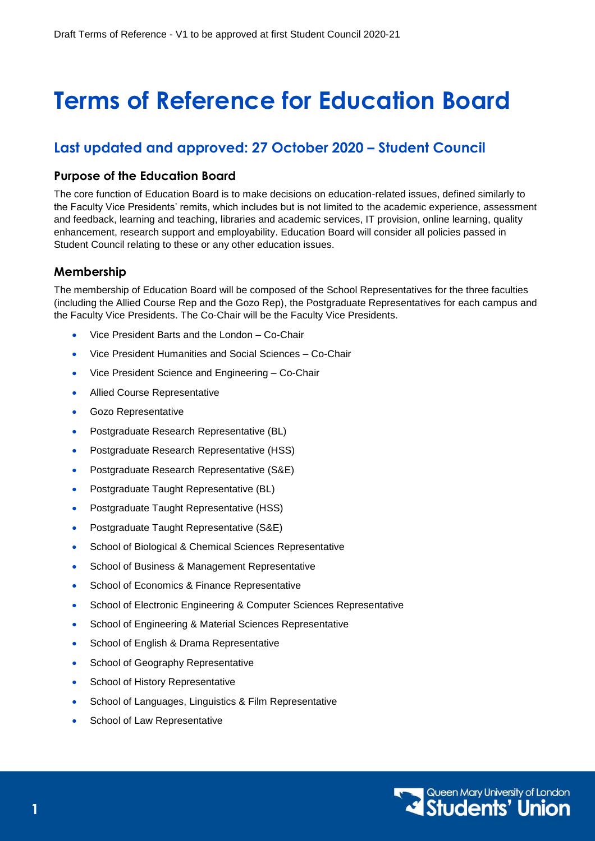# **Terms of Reference for Education Board**

# **Last updated and approved: 27 October 2020 – Student Council**

## **Purpose of the Education Board**

The core function of Education Board is to make decisions on education-related issues, defined similarly to the Faculty Vice Presidents' remits, which includes but is not limited to the academic experience, assessment and feedback, learning and teaching, libraries and academic services, IT provision, online learning, quality enhancement, research support and employability. Education Board will consider all policies passed in Student Council relating to these or any other education issues.

# **Membership**

The membership of Education Board will be composed of the School Representatives for the three faculties (including the Allied Course Rep and the Gozo Rep), the Postgraduate Representatives for each campus and the Faculty Vice Presidents. The Co-Chair will be the Faculty Vice Presidents.

- Vice President Barts and the London Co-Chair
- Vice President Humanities and Social Sciences Co-Chair
- Vice President Science and Engineering Co-Chair
- Allied Course Representative
- Gozo Representative
- Postgraduate Research Representative (BL)
- Postgraduate Research Representative (HSS)
- Postgraduate Research Representative (S&E)
- **•** Postgraduate Taught Representative (BL)
- Postgraduate Taught Representative (HSS)
- Postgraduate Taught Representative (S&E)
- **•** School of Biological & Chemical Sciences Representative
- **•** School of Business & Management Representative
- School of Economics & Finance Representative
- School of Electronic Engineering & Computer Sciences Representative
- School of Engineering & Material Sciences Representative
- School of English & Drama Representative
- School of Geography Representative
- School of History Representative
- School of Languages, Linguistics & Film Representative
- School of Law Representative

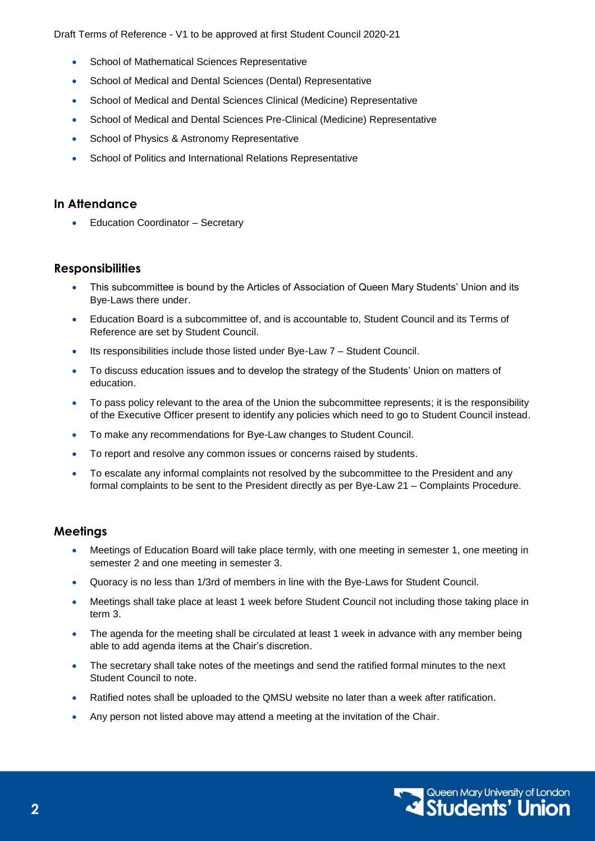Draft Terms of Reference - V1 to be approved at first Student Council 2020-21

- School of Mathematical Sciences Representative
- School of Medical and Dental Sciences (Dental) Representative
- School of Medical and Dental Sciences Clinical (Medicine) Representative
- School of Medical and Dental Sciences Pre-Clinical (Medicine) Representative
- School of Physics & Astronomy Representative
- School of Politics and International Relations Representative

#### **In Attendance**

Education Coordinator – Secretary

### **Responsibilities**

- This subcommittee is bound by the Articles of Association of Queen Mary Students' Union and its Bye-Laws there under.
- Education Board is a subcommittee of, and is accountable to, Student Council and its Terms of Reference are set by Student Council.
- Its responsibilities include those listed under Bye-Law 7 Student Council.
- To discuss education issues and to develop the strategy of the Students' Union on matters of education.
- To pass policy relevant to the area of the Union the subcommittee represents; it is the responsibility of the Executive Officer present to identify any policies which need to go to Student Council instead.
- To make any recommendations for Bye-Law changes to Student Council.
- To report and resolve any common issues or concerns raised by students.
- To escalate any informal complaints not resolved by the subcommittee to the President and any formal complaints to be sent to the President directly as per Bye-Law 21 – Complaints Procedure.

### **Meetings**

- Meetings of Education Board will take place termly, with one meeting in semester 1, one meeting in semester 2 and one meeting in semester 3.
- Quoracy is no less than 1/3rd of members in line with the Bye-Laws for Student Council.
- Meetings shall take place at least 1 week before Student Council not including those taking place in term 3.
- The agenda for the meeting shall be circulated at least 1 week in advance with any member being able to add agenda items at the Chair's discretion.
- The secretary shall take notes of the meetings and send the ratified formal minutes to the next Student Council to note.
- Ratified notes shall be uploaded to the QMSU website no later than a week after ratification.
- Any person not listed above may attend a meeting at the invitation of the Chair.